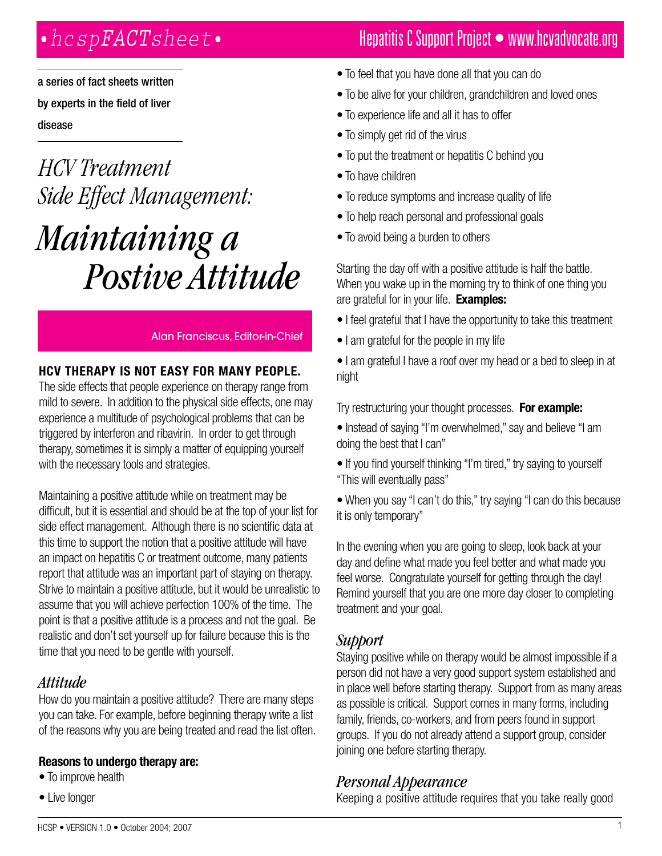*•hcspFACTsheet•* Hepatitis C Support Project • www.hcvadvocate.org

a series of fact sheets written by experts in the field of liver disease

## *HCV Treatment Side Effect Management:*

# *Maintaining a Postive Attitude*

#### Alan Franciscus, Editor-in-Chief

#### **HCV therapy is not easy for many people.**

The side effects that people experience on therapy range from mild to severe. In addition to the physical side effects, one may experience a multitude of psychological problems that can be triggered by interferon and ribavirin. In order to get through therapy, sometimes it is simply a matter of equipping yourself with the necessary tools and strategies.

Maintaining a positive attitude while on treatment may be difficult, but it is essential and should be at the top of your list for side effect management. Although there is no scientific data at this time to support the notion that a positive attitude will have an impact on hepatitis C or treatment outcome, many patients report that attitude was an important part of staying on therapy. Strive to maintain a positive attitude, but it would be unrealistic to assume that you will achieve perfection 100% of the time. The point is that a positive attitude is a process and not the goal. Be realistic and don't set yourself up for failure because this is the time that you need to be gentle with yourself.

#### *Attitude*

How do you maintain a positive attitude? There are many steps you can take. For example, before beginning therapy write a list of the reasons why you are being treated and read the list often.

#### **Reasons to undergo therapy are:**

• To improve health

• Live longer

- To feel that you have done all that you can do
- To be alive for your children, grandchildren and loved ones
- To experience life and all it has to offer
- To simply get rid of the virus
- To put the treatment or hepatitis C behind you
- To have children
- To reduce symptoms and increase quality of life
- To help reach personal and professional goals
- To avoid being a burden to others

Starting the day off with a positive attitude is half the battle. When you wake up in the morning try to think of one thing you are grateful for in your life. **Examples:**

- I feel grateful that I have the opportunity to take this treatment
- I am grateful for the people in my life

• I am grateful I have a roof over my head or a bed to sleep in at night

Try restructuring your thought processes. **For example:**

- Instead of saying "I'm overwhelmed," say and believe "I am doing the best that I can"
- If you find yourself thinking "I'm tired," try saying to yourself "This will eventually pass"
- When you say "I can't do this," try saying "I can do this because it is only temporary"

In the evening when you are going to sleep, look back at your day and define what made you feel better and what made you feel worse. Congratulate yourself for getting through the day! Remind yourself that you are one more day closer to completing treatment and your goal.

#### *Support*

Staying positive while on therapy would be almost impossible if a person did not have a very good support system established and in place well before starting therapy. Support from as many areas as possible is critical. Support comes in many forms, including family, friends, co-workers, and from peers found in support groups. If you do not already attend a support group, consider joining one before starting therapy.

### *Personal Appearance*

Keeping a positive attitude requires that you take really good